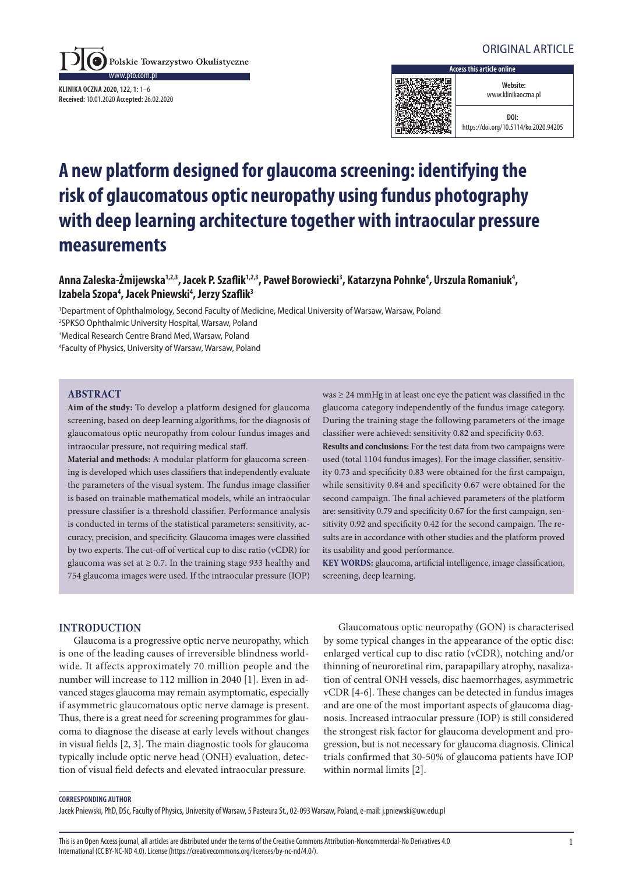

**KLINIKA OCZNA 2020, 122, 1:**1–6 **Received:**10.01.2020 **Accepted:**26.02.2020



# **A new platform designed for glaucoma screening: identifying the risk of glaucomatous optic neuropathy using fundus photography with deep learning architecture together with intraocular pressure measurements**

# Anna Zaleska-Żmijewska<sup>1,2,3</sup>, Jacek P. Szaflik<sup>1,2,3</sup>, Paweł Borowiecki<sup>3</sup>, Katarzyna Pohnke<sup>4</sup>, Urszula Romaniuk<sup>4</sup>, Izabela Szopa<sup>4</sup>, Jacek Pniewski<sup>4</sup>, Jerzy Szaflik<sup>3</sup>

 Department of Ophthalmology, Second Faculty of Medicine, Medical University of Warsaw, Warsaw, Poland SPKSO Ophthalmic University Hospital, Warsaw, Poland Medical Research Centre Brand Med, Warsaw, Poland Faculty of Physics, University of Warsaw, Warsaw, Poland

## **ABSTRACT**

**Aim of the study:** To develop a platform designed for glaucoma screening, based on deep learning algorithms, for the diagnosis of glaucomatous optic neuropathy from colour fundus images and intraocular pressure, not requiring medical staff.

**Material and methods:** A modular platform for glaucoma screening is developed which uses classifiers that independently evaluate the parameters of the visual system. The fundus image classifier is based on trainable mathematical models, while an intraocular pressure classifier is a threshold classifier. Performance analysis is conducted in terms of the statistical parameters: sensitivity, accuracy, precision, and specificity. Glaucoma images were classified by two experts. The cut-off of vertical cup to disc ratio (vCDR) for glaucoma was set at  $\geq 0.7$ . In the training stage 933 healthy and 754 glaucoma images were used. If the intraocular pressure (IOP)

was ≥ 24 mmHg in at least one eye the patient was classified in the glaucoma category independently of the fundus image category. During the training stage the following parameters of the image classifier were achieved: sensitivity 0.82 and specificity 0.63.

**Results and conclusions:** For the test data from two campaigns were used (total 1104 fundus images). For the image classifier, sensitivity 0.73 and specificity 0.83 were obtained for the first campaign, while sensitivity 0.84 and specificity 0.67 were obtained for the second campaign. The final achieved parameters of the platform are: sensitivity 0.79 and specificity 0.67 for the first campaign, sensitivity 0.92 and specificity 0.42 for the second campaign. The results are in accordance with other studies and the platform proved its usability and good performance.

**KEY WORDS:** glaucoma, artificial intelligence, image classification, screening, deep learning.

#### **INTRODUCTION**

Glaucoma is a progressive optic nerve neuropathy, which is one of the leading causes of irreversible blindness worldwide. It affects approximately 70 million people and the number will increase to 112 million in 2040 [1]. Even in advanced stages glaucoma may remain asymptomatic, especially if asymmetric glaucomatous optic nerve damage is present. Thus, there is a great need for screening programmes for glaucoma to diagnose the disease at early levels without changes in visual fields [2, 3]. The main diagnostic tools for glaucoma typically include optic nerve head (ONH) evaluation, detection of visual field defects and elevated intraocular pressure.

Glaucomatous optic neuropathy (GON) is characterised by some typical changes in the appearance of the optic disc: enlarged vertical cup to disc ratio (vCDR), notching and/or thinning of neuroretinal rim, parapapillary atrophy, nasalization of central ONH vessels, disc haemorrhages, asymmetric vCDR [4-6]. These changes can be detected in fundus images and are one of the most important aspects of glaucoma diagnosis. Increased intraocular pressure (IOP) is still considered the strongest risk factor for glaucoma development and progression, but is not necessary for glaucoma diagnosis. Clinical trials confirmed that 30-50% of glaucoma patients have IOP within normal limits [2].

#### **CORRESPONDING AUTHOR**

Jacek Pniewski, PhD, DSc, Faculty of Physics, University of Warsaw, 5 Pasteura St., 02-093 Warsaw, Poland, e-mail: j.pniewski@uw.edu.pl

This is an Open Access journal, all articles are distributed under the terms of the Creative Commons Attribution-Noncommercial-No Derivatives 4.0 International (CC BY-NC-ND 4.0). License (https://creativecommons.org/licenses/by-nc-nd/4.0/).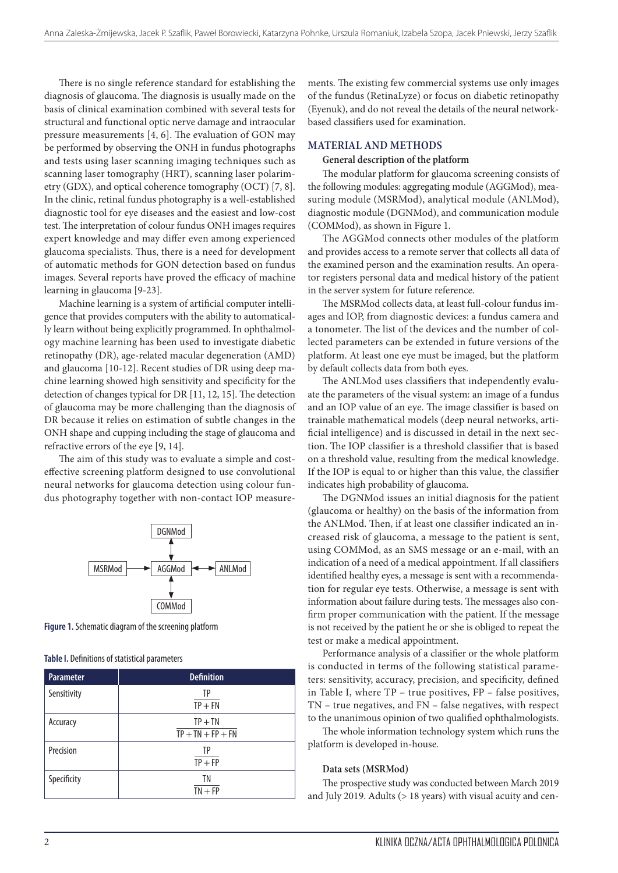There is no single reference standard for establishing the diagnosis of glaucoma. The diagnosis is usually made on the basis of clinical examination combined with several tests for structural and functional optic nerve damage and intraocular pressure measurements [4, 6]. The evaluation of GON may be performed by observing the ONH in fundus photographs and tests using laser scanning imaging techniques such as scanning laser tomography (HRT), scanning laser polarimetry (GDX), and optical coherence tomography (OCT) [7, 8]. In the clinic, retinal fundus photography is a well-established diagnostic tool for eye diseases and the easiest and low-cost test. The interpretation of colour fundus ONH images requires expert knowledge and may differ even among experienced glaucoma specialists. Thus, there is a need for development of automatic methods for GON detection based on fundus images. Several reports have proved the efficacy of machine learning in glaucoma [9-23].

Machine learning is a system of artificial computer intelligence that provides computers with the ability to automatically learn without being explicitly programmed. In ophthalmology machine learning has been used to investigate diabetic retinopathy (DR), age-related macular degeneration (AMD) and glaucoma [10-12]. Recent studies of DR using deep machine learning showed high sensitivity and specificity for the detection of changes typical for DR [11, 12, 15]. The detection of glaucoma may be more challenging than the diagnosis of DR because it relies on estimation of subtle changes in the ONH shape and cupping including the stage of glaucoma and refractive errors of the eye [9, 14].

The aim of this study was to evaluate a simple and costeffective screening platform designed to use convolutional neural networks for glaucoma detection using colour fundus photography together with non-contact IOP measure-



**Figure 1.** Schematic diagram of the screening platform

#### **Table I.** Definitions of statistical parameters

| <b>Parameter</b> | <b>Definition</b>                |  |
|------------------|----------------------------------|--|
| Sensitivity      | TP<br>$TP + FN$                  |  |
| Accuracy         | $TP + TN$<br>$TP + TN + FP + FN$ |  |
| Precision        | TP<br>$TP + FP$                  |  |
| Specificity      | ΤN<br>$TN + FP$                  |  |

ments. The existing few commercial systems use only images of the fundus (RetinaLyze) or focus on diabetic retinopathy (Eyenuk), and do not reveal the details of the neural networkbased classifiers used for examination.

## **MATERIAL AND METHODS**

#### **General description of the platform**

The modular platform for glaucoma screening consists of the following modules: aggregating module (AGGMod), measuring module (MSRMod), analytical module (ANLMod), diagnostic module (DGNMod), and communication module (COMMod), as shown in Figure 1.

The AGGMod connects other modules of the platform and provides access to a remote server that collects all data of the examined person and the examination results. An operator registers personal data and medical history of the patient in the server system for future reference.

The MSRMod collects data, at least full-colour fundus images and IOP, from diagnostic devices: a fundus camera and a tonometer. The list of the devices and the number of collected parameters can be extended in future versions of the platform. At least one eye must be imaged, but the platform by default collects data from both eyes.

The ANLMod uses classifiers that independently evaluate the parameters of the visual system: an image of a fundus and an IOP value of an eye. The image classifier is based on trainable mathematical models (deep neural networks, artificial intelligence) and is discussed in detail in the next section. The IOP classifier is a threshold classifier that is based on a threshold value, resulting from the medical knowledge. If the IOP is equal to or higher than this value, the classifier indicates high probability of glaucoma.

The DGNMod issues an initial diagnosis for the patient (glaucoma or healthy) on the basis of the information from the ANLMod. Then, if at least one classifier indicated an increased risk of glaucoma, a message to the patient is sent, using COMMod, as an SMS message or an e-mail, with an indication of a need of a medical appointment. If all classifiers identified healthy eyes, a message is sent with a recommendation for regular eye tests. Otherwise, a message is sent with information about failure during tests. The messages also confirm proper communication with the patient. If the message is not received by the patient he or she is obliged to repeat the test or make a medical appointment.

Performance analysis of a classifier or the whole platform is conducted in terms of the following statistical parameters: sensitivity, accuracy, precision, and specificity, defined in Table I, where TP – true positives, FP – false positives, TN – true negatives, and FN – false negatives, with respect to the unanimous opinion of two qualified ophthalmologists.

The whole information technology system which runs the platform is developed in-house.

## **Data sets (MSRMod)**

The prospective study was conducted between March 2019 and July 2019. Adults (> 18 years) with visual acuity and cen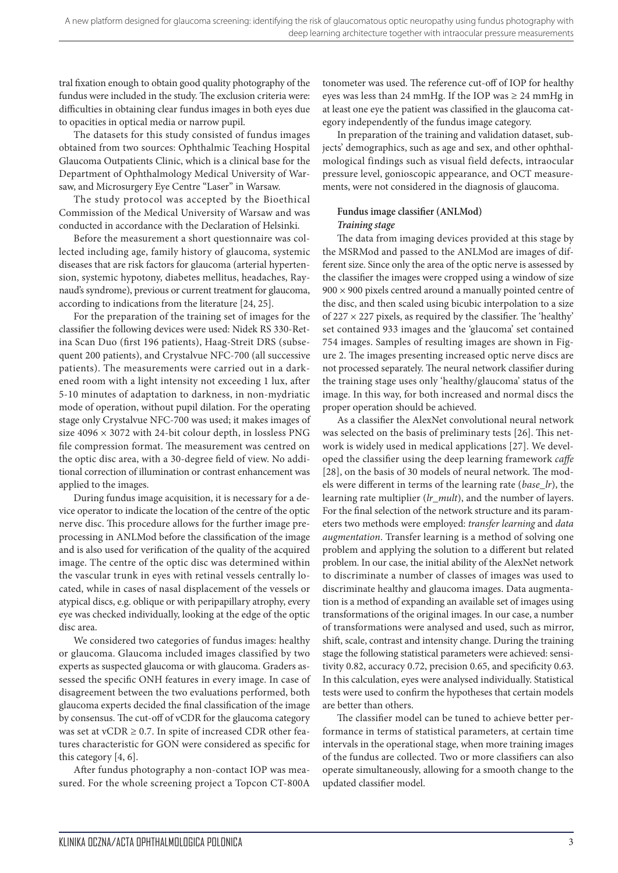tral fixation enough to obtain good quality photography of the fundus were included in the study. The exclusion criteria were: difficulties in obtaining clear fundus images in both eyes due to opacities in optical media or narrow pupil.

The datasets for this study consisted of fundus images obtained from two sources: Ophthalmic Teaching Hospital Glaucoma Outpatients Clinic, which is a clinical base for the Department of Ophthalmology Medical University of Warsaw, and Microsurgery Eye Centre "Laser" in Warsaw.

The study protocol was accepted by the Bioethical Commission of the Medical University of Warsaw and was conducted in accordance with the Declaration of Helsinki.

Before the measurement a short questionnaire was collected including age, family history of glaucoma, systemic diseases that are risk factors for glaucoma (arterial hypertension, systemic hypotony, diabetes mellitus, headaches, Raynaud's syndrome), previous or current treatment for glaucoma, according to indications from the literature [24, 25].

For the preparation of the training set of images for the classifier the following devices were used: Nidek RS 330-Retina Scan Duo (first 196 patients), Haag-Streit DRS (subsequent 200 patients), and Crystalvue NFC-700 (all successive patients). The measurements were carried out in a darkened room with a light intensity not exceeding 1 lux, after 5-10 minutes of adaptation to darkness, in non-mydriatic mode of operation, without pupil dilation. For the operating stage only Crystalvue NFC-700 was used; it makes images of size  $4096 \times 3072$  with 24-bit colour depth, in lossless PNG file compression format. The measurement was centred on the optic disc area, with a 30-degree field of view. No additional correction of illumination or contrast enhancement was applied to the images.

During fundus image acquisition, it is necessary for a device operator to indicate the location of the centre of the optic nerve disc. This procedure allows for the further image preprocessing in ANLMod before the classification of the image and is also used for verification of the quality of the acquired image. The centre of the optic disc was determined within the vascular trunk in eyes with retinal vessels centrally located, while in cases of nasal displacement of the vessels or atypical discs, e.g. oblique or with peripapillary atrophy, every eye was checked individually, looking at the edge of the optic disc area.

We considered two categories of fundus images: healthy or glaucoma. Glaucoma included images classified by two experts as suspected glaucoma or with glaucoma. Graders assessed the specific ONH features in every image. In case of disagreement between the two evaluations performed, both glaucoma experts decided the final classification of the image by consensus. The cut-off of vCDR for the glaucoma category was set at vCDR  $\geq$  0.7. In spite of increased CDR other features characteristic for GON were considered as specific for this category [4, 6].

After fundus photography a non-contact IOP was measured. For the whole screening project a Topcon CT-800A tonometer was used. The reference cut-off of IOP for healthy eyes was less than 24 mmHg. If the IOP was ≥ 24 mmHg in at least one eye the patient was classified in the glaucoma category independently of the fundus image category.

In preparation of the training and validation dataset, subjects' demographics, such as age and sex, and other ophthalmological findings such as visual field defects, intraocular pressure level, gonioscopic appearance, and OCT measurements, were not considered in the diagnosis of glaucoma.

# **Fundus image classifier (ANLMod)** *Training stage*

The data from imaging devices provided at this stage by the MSRMod and passed to the ANLMod are images of different size. Since only the area of the optic nerve is assessed by the classifier the images were cropped using a window of size  $900 \times 900$  pixels centred around a manually pointed centre of the disc, and then scaled using bicubic interpolation to a size of  $227 \times 227$  pixels, as required by the classifier. The 'healthy' set contained 933 images and the 'glaucoma' set contained 754 images. Samples of resulting images are shown in Figure 2. The images presenting increased optic nerve discs are not processed separately. The neural network classifier during the training stage uses only 'healthy/glaucoma' status of the image. In this way, for both increased and normal discs the proper operation should be achieved.

As a classifier the AlexNet convolutional neural network was selected on the basis of preliminary tests [26]. This network is widely used in medical applications [27]. We developed the classifier using the deep learning framework *caffe* [28], on the basis of 30 models of neural network. The models were different in terms of the learning rate (*base\_lr*), the learning rate multiplier (*lr\_mult*), and the number of layers. For the final selection of the network structure and its parameters two methods were employed: *transfer learning* and *data augmentation*. Transfer learning is a method of solving one problem and applying the solution to a different but related problem. In our case, the initial ability of the AlexNet network to discriminate a number of classes of images was used to discriminate healthy and glaucoma images. Data augmentation is a method of expanding an available set of images using transformations of the original images. In our case, a number of transformations were analysed and used, such as mirror, shift, scale, contrast and intensity change. During the training stage the following statistical parameters were achieved: sensitivity 0.82, accuracy 0.72, precision 0.65, and specificity 0.63. In this calculation, eyes were analysed individually. Statistical tests were used to confirm the hypotheses that certain models are better than others.

The classifier model can be tuned to achieve better performance in terms of statistical parameters, at certain time intervals in the operational stage, when more training images of the fundus are collected. Two or more classifiers can also operate simultaneously, allowing for a smooth change to the updated classifier model.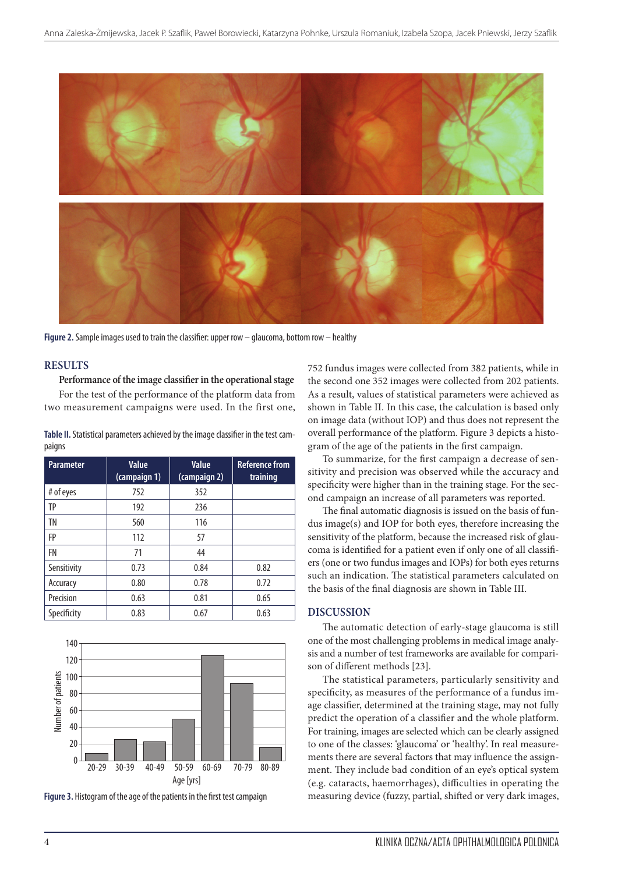

**Figure 2.** Sample images used to train the classifier: upper row – glaucoma, bottom row – healthy

## **RESULTS**

**Performance of the image classifier in the operational stage** For the test of the performance of the platform data from two measurement campaigns were used. In the first one,

| Table II. Statistical parameters achieved by the image classifier in the test cam- |
|------------------------------------------------------------------------------------|
| paigns                                                                             |

| <b>Parameter</b> | Value<br>(campaign 1) | Value<br>(campaign 2) | <b>Reference from</b><br>training |
|------------------|-----------------------|-----------------------|-----------------------------------|
| # of eyes        | 752                   | 352                   |                                   |
| ТP               | 192                   | 236                   |                                   |
| ΤN               | 560                   | 116                   |                                   |
| FP               | 112                   | 57                    |                                   |
| FN               | 71                    | 44                    |                                   |
| Sensitivity      | 0.73                  | 0.84                  | 0.82                              |
| Accuracy         | 0.80                  | 0.78                  | 0.72                              |
| Precision        | 0.63                  | 0.81                  | 0.65                              |
| Specificity      | 0.83                  | 0.67                  | 0.63                              |



**Figure 3.** Histogram of the age of the patients in the first test campaign

752 fundus images were collected from 382 patients, while in the second one 352 images were collected from 202 patients. As a result, values of statistical parameters were achieved as shown in Table II. In this case, the calculation is based only on image data (without IOP) and thus does not represent the overall performance of the platform. Figure 3 depicts a histogram of the age of the patients in the first campaign.

To summarize, for the first campaign a decrease of sensitivity and precision was observed while the accuracy and specificity were higher than in the training stage. For the second campaign an increase of all parameters was reported.

The final automatic diagnosis is issued on the basis of fundus image(s) and IOP for both eyes, therefore increasing the sensitivity of the platform, because the increased risk of glaucoma is identified for a patient even if only one of all classifiers (one or two fundus images and IOPs) for both eyes returns such an indication. The statistical parameters calculated on the basis of the final diagnosis are shown in Table III.

### **DISCUSSION**

The automatic detection of early-stage glaucoma is still one of the most challenging problems in medical image analysis and a number of test frameworks are available for comparison of different methods [23].

The statistical parameters, particularly sensitivity and specificity, as measures of the performance of a fundus image classifier, determined at the training stage, may not fully predict the operation of a classifier and the whole platform. For training, images are selected which can be clearly assigned to one of the classes: 'glaucoma' or 'healthy'. In real measurements there are several factors that may influence the assignment. They include bad condition of an eye's optical system (e.g. cataracts, haemorrhages), difficulties in operating the measuring device (fuzzy, partial, shifted or very dark images,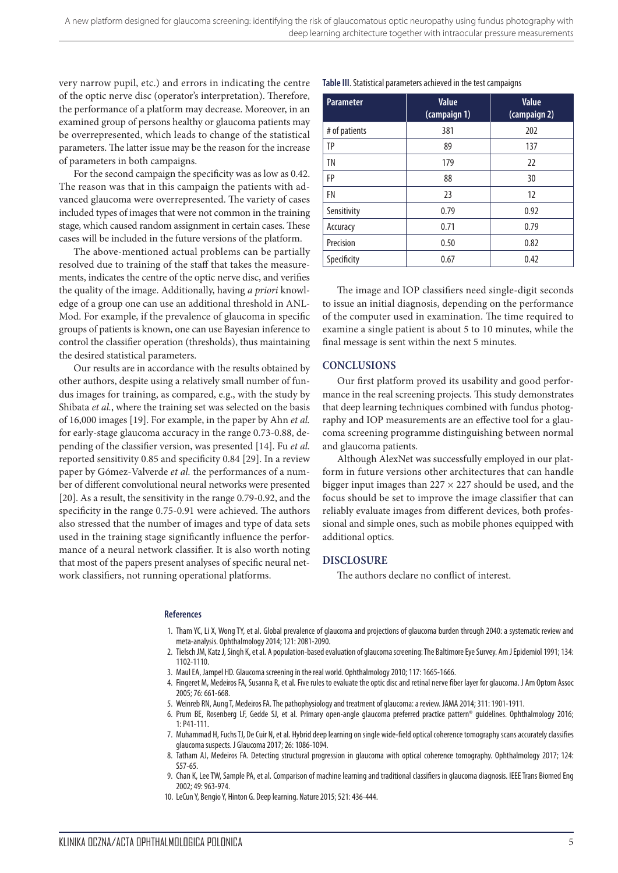very narrow pupil, etc.) and errors in indicating the centre of the optic nerve disc (operator's interpretation). Therefore, the performance of a platform may decrease. Moreover, in an examined group of persons healthy or glaucoma patients may be overrepresented, which leads to change of the statistical parameters. The latter issue may be the reason for the increase of parameters in both campaigns.

For the second campaign the specificity was as low as 0.42. The reason was that in this campaign the patients with advanced glaucoma were overrepresented. The variety of cases included types of images that were not common in the training stage, which caused random assignment in certain cases. These cases will be included in the future versions of the platform.

The above-mentioned actual problems can be partially resolved due to training of the staff that takes the measurements, indicates the centre of the optic nerve disc, and verifies the quality of the image. Additionally, having *a priori* knowledge of a group one can use an additional threshold in ANL-Mod. For example, if the prevalence of glaucoma in specific groups of patients is known, one can use Bayesian inference to control the classifier operation (thresholds), thus maintaining the desired statistical parameters.

Our results are in accordance with the results obtained by other authors, despite using a relatively small number of fundus images for training, as compared, e.g., with the study by Shibata *et al.*, where the training set was selected on the basis of 16,000 images [19]. For example, in the paper by Ahn *et al.* for early-stage glaucoma accuracy in the range 0.73-0.88, depending of the classifier version, was presented [14]. Fu *et al.* reported sensitivity 0.85 and specificity 0.84 [29]. In a review paper by Gómez-Valverde *et al.* the performances of a number of different convolutional neural networks were presented [20]. As a result, the sensitivity in the range 0.79-0.92, and the specificity in the range 0.75-0.91 were achieved. The authors also stressed that the number of images and type of data sets used in the training stage significantly influence the performance of a neural network classifier. It is also worth noting that most of the papers present analyses of specific neural network classifiers, not running operational platforms.

#### **Table III**. Statistical parameters achieved in the test campaigns

| <b>Parameter</b> | Value<br>(campaign 1) | <b>Value</b><br>(campaign 2) |
|------------------|-----------------------|------------------------------|
| # of patients    | 381                   | 202                          |
| ТP               | 89                    | 137                          |
| ΤN               | 179                   | 22                           |
| FP               | 88                    | 30                           |
| FN               | 23                    | 12                           |
| Sensitivity      | 0.79                  | 0.92                         |
| Accuracy         | 0.71                  | 0.79                         |
| Precision        | 0.50                  | 0.82                         |
| Specificity      | 0.67                  | 0.42                         |

The image and IOP classifiers need single-digit seconds to issue an initial diagnosis, depending on the performance of the computer used in examination. The time required to examine a single patient is about 5 to 10 minutes, while the final message is sent within the next 5 minutes.

#### **CONCLUSIONS**

Our first platform proved its usability and good performance in the real screening projects. This study demonstrates that deep learning techniques combined with fundus photography and IOP measurements are an effective tool for a glaucoma screening programme distinguishing between normal and glaucoma patients.

Although AlexNet was successfully employed in our platform in future versions other architectures that can handle bigger input images than  $227 \times 227$  should be used, and the focus should be set to improve the image classifier that can reliably evaluate images from different devices, both professional and simple ones, such as mobile phones equipped with additional optics.

#### **DISCLOSURE**

The authors declare no conflict of interest.

#### **References**

- 1. Tham YC, Li X, Wong TY, et al*.* Global prevalence of glaucoma and projections of glaucoma burden through 2040: a systematic review and meta-analysis. Ophthalmology 2014; 121: 2081-2090.
- 2. Tielsch JM, Katz J, Singh K, et al*.* A population-based evaluation of glaucoma screening: The Baltimore Eye Survey. Am J Epidemiol 1991; 134: 1102-1110.
- 3. Maul EA, Jampel HD. Glaucoma screening in the real world. Ophthalmology 2010; 117: 1665-1666.
- 4. Fingeret M, Medeiros FA, Susanna R, et al*.* Five rules to evaluate the optic disc and retinal nerve fiber layer for glaucoma. J Am Optom Assoc 2005; 76: 661-668.
- 5. Weinreb RN, Aung T, Medeiros FA. The pathophysiology and treatment of glaucoma: a review. JAMA 2014; 311: 1901-1911.
- 6. Prum BE, Rosenberg LF, Gedde SJ, et al*.* Primary open-angle glaucoma preferred practice pattern® guidelines. Ophthalmology 2016; 1: P41-111.
- 7. Muhammad H, Fuchs TJ, De Cuir N, et al*.* Hybrid deep learning on single wide-field optical coherence tomography scans accurately classifies glaucoma suspects. J Glaucoma 2017; 26: 1086-1094.
- 8. Tatham AJ, Medeiros FA. Detecting structural progression in glaucoma with optical coherence tomography. Ophthalmology 2017; 124: S57-65.
- 9. Chan K, Lee TW, Sample PA, et al*.* Comparison of machine learning and traditional classifiers in glaucoma diagnosis. IEEE Trans Biomed Eng 2002; 49: 963-974.
- 10. LeCun Y, Bengio Y, Hinton G. Deep learning. Nature 2015; 521: 436-444.